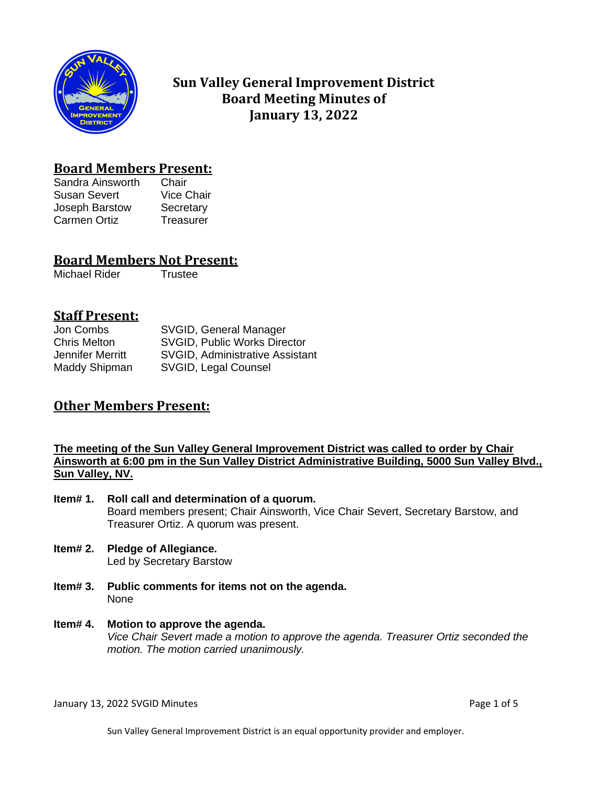

# **Sun Valley General Improvement District Board Meeting Minutes of January 13, 2022**

# **Board Members Present:**

Sandra Ainsworth Chair Susan Severt Vice Chair Joseph Barstow Secretary Carmen Ortiz Treasurer

## **Board Members Not Present:**

Michael Rider Trustee

# **Staff Present:**

| Jon Combs           | SVGID, General Manager                 |
|---------------------|----------------------------------------|
| <b>Chris Melton</b> | <b>SVGID, Public Works Director</b>    |
| Jennifer Merritt    | <b>SVGID, Administrative Assistant</b> |
| Maddy Shipman       | SVGID, Legal Counsel                   |

# **Other Members Present:**

### **The meeting of the Sun Valley General Improvement District was called to order by Chair Ainsworth at 6:00 pm in the Sun Valley District Administrative Building, 5000 Sun Valley Blvd., Sun Valley, NV.**

- **Item# 1. Roll call and determination of a quorum.** Board members present; Chair Ainsworth, Vice Chair Severt, Secretary Barstow, and Treasurer Ortiz. A quorum was present.
- **Item# 2. Pledge of Allegiance.** Led by Secretary Barstow
- **Item# 3. Public comments for items not on the agenda.**  None
- **Item# 4. Motion to approve the agenda.** *Vice Chair Severt made a motion to approve the agenda. Treasurer Ortiz seconded the motion. The motion carried unanimously.*

January 13, 2022 SVGID Minutes **Page 1 of 5** and 2011 12:00 and 2012 12:00 and 2014 12:00 and 2014 12:00 and 201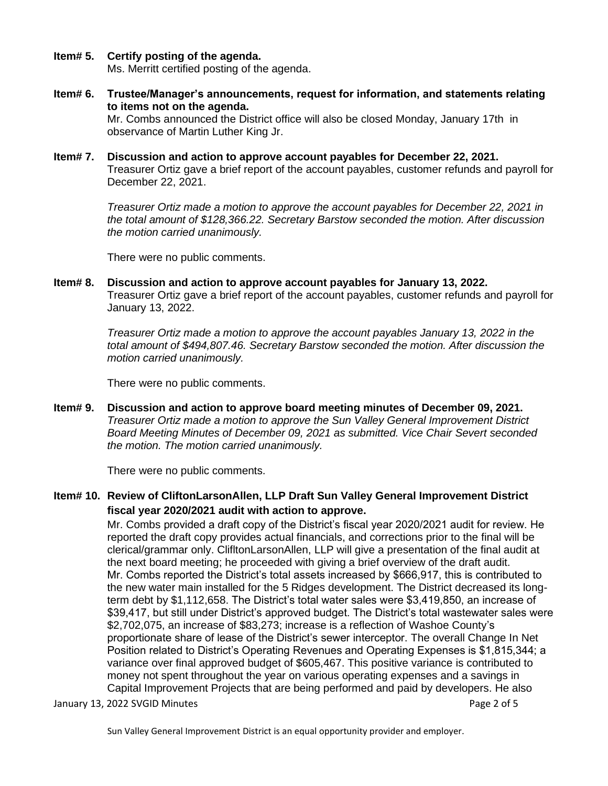**Item# 5. Certify posting of the agenda.**

Ms. Merritt certified posting of the agenda.

- **Item# 6. Trustee/Manager's announcements, request for information, and statements relating to items not on the agenda.** Mr. Combs announced the District office will also be closed Monday, January 17th in observance of Martin Luther King Jr.
- **Item# 7. Discussion and action to approve account payables for December 22, 2021.**  Treasurer Ortiz gave a brief report of the account payables, customer refunds and payroll for December 22, 2021.

*Treasurer Ortiz made a motion to approve the account payables for December 22, 2021 in the total amount of \$128,366.22. Secretary Barstow seconded the motion. After discussion the motion carried unanimously.*

There were no public comments.

**Item# 8. Discussion and action to approve account payables for January 13, 2022.**  Treasurer Ortiz gave a brief report of the account payables, customer refunds and payroll for January 13, 2022.

> *Treasurer Ortiz made a motion to approve the account payables January 13, 2022 in the total amount of \$494,807.46. Secretary Barstow seconded the motion. After discussion the motion carried unanimously.*

There were no public comments.

**Item# 9. Discussion and action to approve board meeting minutes of December 09, 2021.**  *Treasurer Ortiz made a motion to approve the Sun Valley General Improvement District Board Meeting Minutes of December 09, 2021 as submitted. Vice Chair Severt seconded the motion. The motion carried unanimously.*

There were no public comments.

**Item# 10. Review of CliftonLarsonAllen, LLP Draft Sun Valley General Improvement District fiscal year 2020/2021 audit with action to approve.**

> Mr. Combs provided a draft copy of the District's fiscal year 2020/2021 audit for review. He reported the draft copy provides actual financials, and corrections prior to the final will be clerical/grammar only. ClifltonLarsonAllen, LLP will give a presentation of the final audit at the next board meeting; he proceeded with giving a brief overview of the draft audit. Mr. Combs reported the District's total assets increased by \$666,917, this is contributed to the new water main installed for the 5 Ridges development. The District decreased its longterm debt by \$1,112,658. The District's total water sales were \$3,419,850, an increase of \$39,417, but still under District's approved budget. The District's total wastewater sales were \$2,702,075, an increase of \$83,273; increase is a reflection of Washoe County's proportionate share of lease of the District's sewer interceptor. The overall Change In Net Position related to District's Operating Revenues and Operating Expenses is \$1,815,344; a variance over final approved budget of \$605,467. This positive variance is contributed to money not spent throughout the year on various operating expenses and a savings in Capital Improvement Projects that are being performed and paid by developers. He also

January 13, 2022 SVGID Minutes **Page 2 of 5** and 2 of 5

Sun Valley General Improvement District is an equal opportunity provider and employer.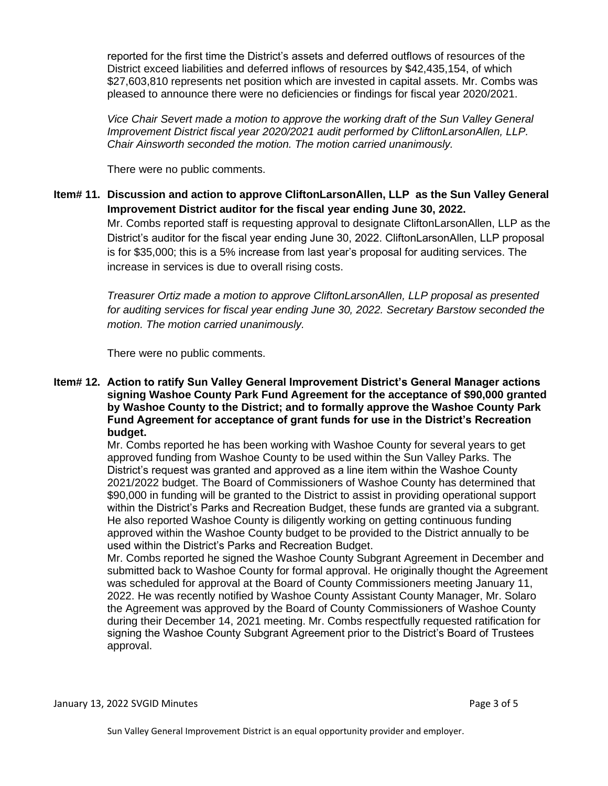reported for the first time the District's assets and deferred outflows of resources of the District exceed liabilities and deferred inflows of resources by \$42,435,154, of which \$27,603,810 represents net position which are invested in capital assets. Mr. Combs was pleased to announce there were no deficiencies or findings for fiscal year 2020/2021.

*Vice Chair Severt made a motion to approve the working draft of the Sun Valley General Improvement District fiscal year 2020/2021 audit performed by CliftonLarsonAllen, LLP. Chair Ainsworth seconded the motion. The motion carried unanimously.* 

There were no public comments.

**Item# 11. Discussion and action to approve CliftonLarsonAllen, LLP as the Sun Valley General Improvement District auditor for the fiscal year ending June 30, 2022.**

Mr. Combs reported staff is requesting approval to designate CliftonLarsonAllen, LLP as the District's auditor for the fiscal year ending June 30, 2022. CliftonLarsonAllen, LLP proposal is for \$35,000; this is a 5% increase from last year's proposal for auditing services. The increase in services is due to overall rising costs.

*Treasurer Ortiz made a motion to approve CliftonLarsonAllen, LLP proposal as presented for auditing services for fiscal year ending June 30, 2022. Secretary Barstow seconded the motion. The motion carried unanimously.* 

There were no public comments.

**Item# 12. Action to ratify Sun Valley General Improvement District's General Manager actions signing Washoe County Park Fund Agreement for the acceptance of \$90,000 granted by Washoe County to the District; and to formally approve the Washoe County Park Fund Agreement for acceptance of grant funds for use in the District's Recreation budget.**

Mr. Combs reported he has been working with Washoe County for several years to get approved funding from Washoe County to be used within the Sun Valley Parks. The District's request was granted and approved as a line item within the Washoe County 2021/2022 budget. The Board of Commissioners of Washoe County has determined that \$90,000 in funding will be granted to the District to assist in providing operational support within the District's Parks and Recreation Budget, these funds are granted via a subgrant. He also reported Washoe County is diligently working on getting continuous funding approved within the Washoe County budget to be provided to the District annually to be used within the District's Parks and Recreation Budget.

Mr. Combs reported he signed the Washoe County Subgrant Agreement in December and submitted back to Washoe County for formal approval. He originally thought the Agreement was scheduled for approval at the Board of County Commissioners meeting January 11, 2022. He was recently notified by Washoe County Assistant County Manager, Mr. Solaro the Agreement was approved by the Board of County Commissioners of Washoe County during their December 14, 2021 meeting. Mr. Combs respectfully requested ratification for signing the Washoe County Subgrant Agreement prior to the District's Board of Trustees approval.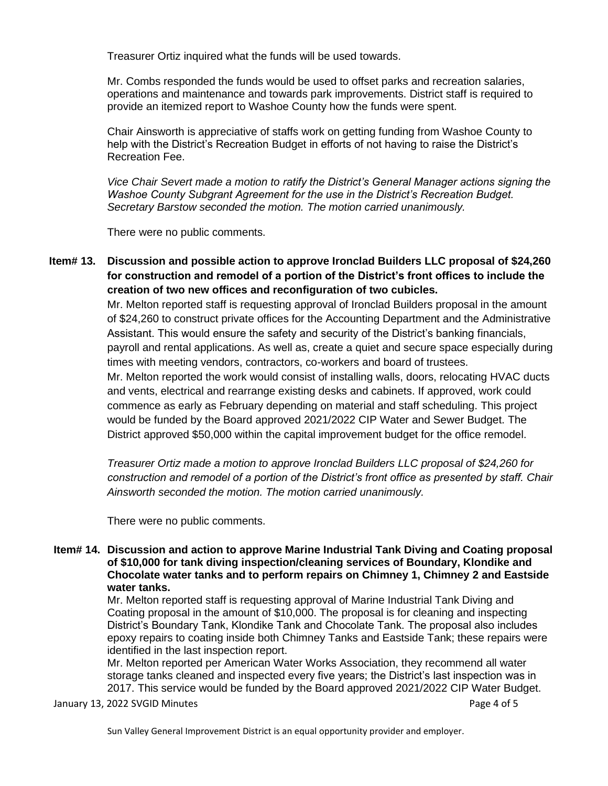Treasurer Ortiz inquired what the funds will be used towards.

Mr. Combs responded the funds would be used to offset parks and recreation salaries, operations and maintenance and towards park improvements. District staff is required to provide an itemized report to Washoe County how the funds were spent.

Chair Ainsworth is appreciative of staffs work on getting funding from Washoe County to help with the District's Recreation Budget in efforts of not having to raise the District's Recreation Fee.

*Vice Chair Severt made a motion to ratify the District's General Manager actions signing the Washoe County Subgrant Agreement for the use in the District's Recreation Budget. Secretary Barstow seconded the motion. The motion carried unanimously.*

There were no public comments.

**Item# 13. Discussion and possible action to approve Ironclad Builders LLC proposal of \$24,260 for construction and remodel of a portion of the District's front offices to include the creation of two new offices and reconfiguration of two cubicles.** 

> Mr. Melton reported staff is requesting approval of Ironclad Builders proposal in the amount of \$24,260 to construct private offices for the Accounting Department and the Administrative Assistant. This would ensure the safety and security of the District's banking financials, payroll and rental applications. As well as, create a quiet and secure space especially during times with meeting vendors, contractors, co-workers and board of trustees. Mr. Melton reported the work would consist of installing walls, doors, relocating HVAC ducts and vents, electrical and rearrange existing desks and cabinets. If approved, work could commence as early as February depending on material and staff scheduling. This project would be funded by the Board approved 2021/2022 CIP Water and Sewer Budget. The District approved \$50,000 within the capital improvement budget for the office remodel.

> *Treasurer Ortiz made a motion to approve Ironclad Builders LLC proposal of \$24,260 for construction and remodel of a portion of the District's front office as presented by staff. Chair Ainsworth seconded the motion. The motion carried unanimously.*

There were no public comments.

### **Item# 14. Discussion and action to approve Marine Industrial Tank Diving and Coating proposal of \$10,000 for tank diving inspection/cleaning services of Boundary, Klondike and Chocolate water tanks and to perform repairs on Chimney 1, Chimney 2 and Eastside water tanks.**

Mr. Melton reported staff is requesting approval of Marine Industrial Tank Diving and Coating proposal in the amount of \$10,000. The proposal is for cleaning and inspecting District's Boundary Tank, Klondike Tank and Chocolate Tank. The proposal also includes epoxy repairs to coating inside both Chimney Tanks and Eastside Tank; these repairs were identified in the last inspection report.

Mr. Melton reported per American Water Works Association, they recommend all water storage tanks cleaned and inspected every five years; the District's last inspection was in 2017. This service would be funded by the Board approved 2021/2022 CIP Water Budget.

January 13, 2022 SVGID Minutes **Page 4 of 5** and 2011 12:00 and 2012 12:00 and 2014 12:00 and 2014 12:00 and 201

Sun Valley General Improvement District is an equal opportunity provider and employer.